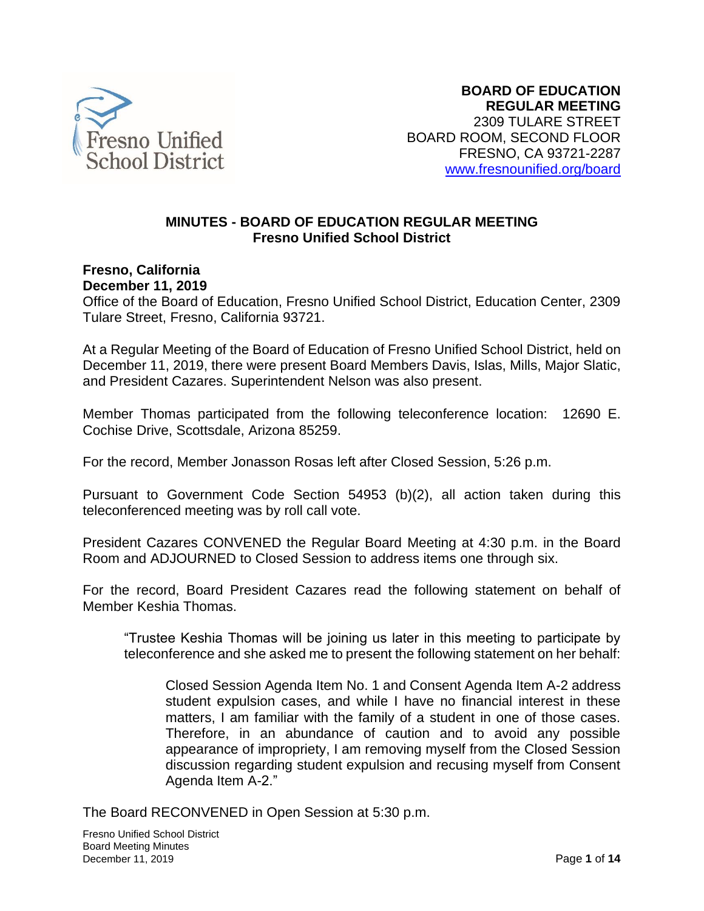

#### **MINUTES - BOARD OF EDUCATION REGULAR MEETING Fresno Unified School District**

#### **Fresno, California December 11, 2019**

Office of the Board of Education, Fresno Unified School District, Education Center, 2309 Tulare Street, Fresno, California 93721.

At a Regular Meeting of the Board of Education of Fresno Unified School District, held on December 11, 2019, there were present Board Members Davis, Islas, Mills, Major Slatic, and President Cazares. Superintendent Nelson was also present.

 Member Thomas participated from the following teleconference location: 12690 E. Cochise Drive, Scottsdale, Arizona 85259.

For the record, Member Jonasson Rosas left after Closed Session, 5:26 p.m.

 Pursuant to Government Code Section 54953 (b)(2), all action taken during this teleconferenced meeting was by roll call vote.

 President Cazares CONVENED the Regular Board Meeting at 4:30 p.m. in the Board Room and ADJOURNED to Closed Session to address items one through six.

 For the record, Board President Cazares read the following statement on behalf of Member Keshia Thomas.

 "Trustee Keshia Thomas will be joining us later in this meeting to participate by teleconference and she asked me to present the following statement on her behalf:

 Closed Session Agenda Item No. 1 and Consent Agenda Item A-2 address student expulsion cases, and while I have no financial interest in these matters, I am familiar with the family of a student in one of those cases. Therefore, in an abundance of caution and to avoid any possible appearance of impropriety, I am removing myself from the Closed Session discussion regarding student expulsion and recusing myself from Consent Agenda Item A-2."

The Board RECONVENED in Open Session at 5:30 p.m. Fresno Unified School District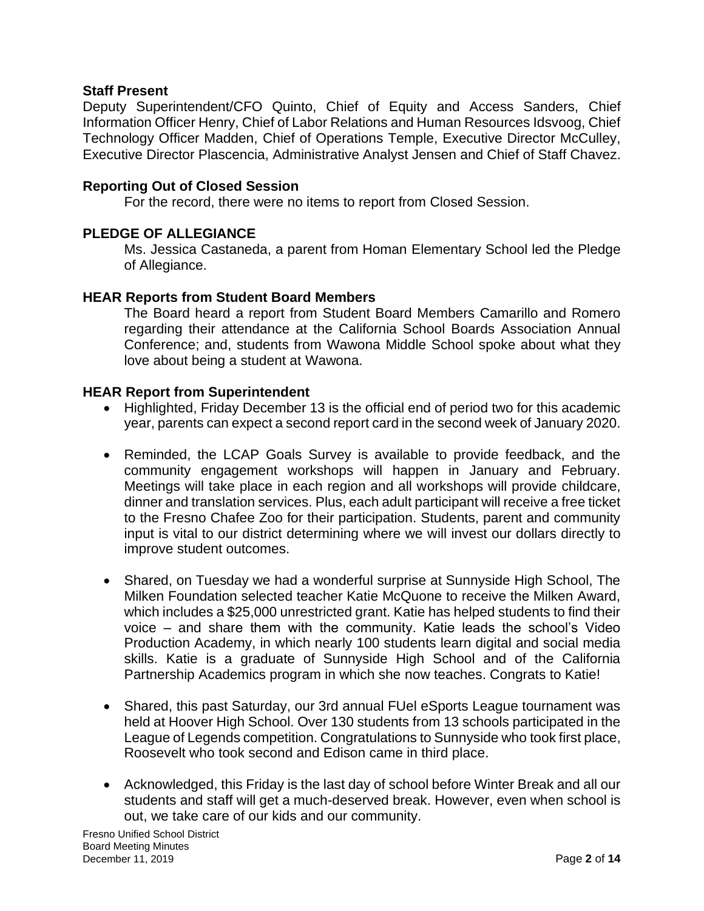#### **Staff Present**

 Information Officer Henry, Chief of Labor Relations and Human Resources Idsvoog, Chief Technology Officer Madden, Chief of Operations Temple, Executive Director McCulley, Deputy Superintendent/CFO Quinto, Chief of Equity and Access Sanders, Chief Executive Director Plascencia, Administrative Analyst Jensen and Chief of Staff Chavez.

#### **Reporting Out of Closed Session**

For the record, there were no items to report from Closed Session.

#### **PLEDGE OF ALLEGIANCE**

 Ms. Jessica Castaneda, a parent from Homan Elementary School led the Pledge of Allegiance.

#### **HEAR Reports from Student Board Members**

 The Board heard a report from Student Board Members Camarillo and Romero regarding their attendance at the California School Boards Association Annual Conference; and, students from Wawona Middle School spoke about what they love about being a student at Wawona.

#### **HEAR Report from Superintendent**

- • Highlighted, Friday December 13 is the official end of period two for this academic year, parents can expect a second report card in the second week of January 2020.
- • Reminded, the LCAP Goals Survey is available to provide feedback, and the community engagement workshops will happen in January and February. Meetings will take place in each region and all workshops will provide childcare, dinner and translation services. Plus, each adult participant will receive a free ticket to the Fresno Chafee Zoo for their participation. Students, parent and community input is vital to our district determining where we will invest our dollars directly to improve student outcomes.
- • Shared, on Tuesday we had a wonderful surprise at Sunnyside High School, The Milken Foundation selected teacher Katie McQuone to receive the Milken Award, which includes a \$25,000 unrestricted grant. Katie has helped students to find their voice – and share them with the community. Katie leads the school's Video Production Academy, in which nearly 100 students learn digital and social media skills. Katie is a graduate of Sunnyside High School and of the California Partnership Academics program in which she now teaches. Congrats to Katie!
- held at Hoover High School. Over 130 students from 13 schools participated in the League of Legends competition. Congratulations to Sunnyside who took first place, • Shared, this past Saturday, our 3rd annual FUel eSports League tournament was Roosevelt who took second and Edison came in third place.
- • Acknowledged, this Friday is the last day of school before Winter Break and all our students and staff will get a much-deserved break. However, even when school is out, we take care of our kids and our community.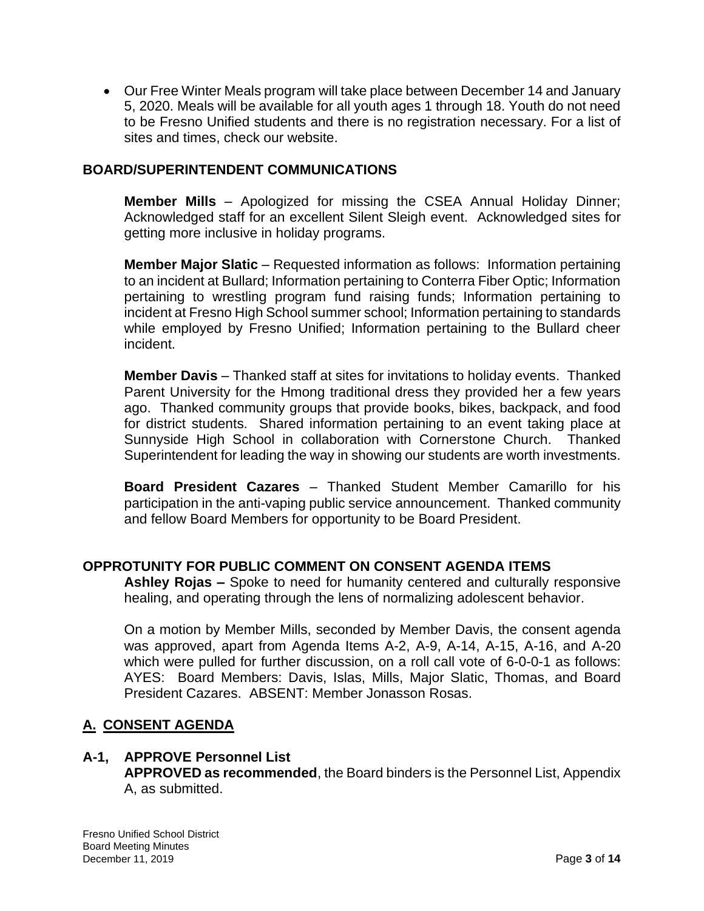• Our Free Winter Meals program will take place between December 14 and January 5, 2020. Meals will be available for all youth ages 1 through 18. Youth do not need to be Fresno Unified students and there is no registration necessary. For a list of sites and times, check our website.

## **BOARD/SUPERINTENDENT COMMUNICATIONS**

 **Member Mills** – Apologized for missing the CSEA Annual Holiday Dinner; Acknowledged staff for an excellent Silent Sleigh event. Acknowledged sites for getting more inclusive in holiday programs.

 **Member Major Slatic** – Requested information as follows: Information pertaining to an incident at Bullard; Information pertaining to Conterra Fiber Optic; Information pertaining to wrestling program fund raising funds; Information pertaining to incident at Fresno High School summer school; Information pertaining to standards while employed by Fresno Unified; Information pertaining to the Bullard cheer incident.

 **Member Davis** – Thanked staff at sites for invitations to holiday events. Thanked Parent University for the Hmong traditional dress they provided her a few years for district students. Shared information pertaining to an event taking place at Sunnyside High School in collaboration with Cornerstone Church. Thanked Superintendent for leading the way in showing our students are worth investments. ago. Thanked community groups that provide books, bikes, backpack, and food

 participation in the anti-vaping public service announcement. Thanked community **Board President Cazares** – Thanked Student Member Camarillo for his and fellow Board Members for opportunity to be Board President.

# **OPPROTUNITY FOR PUBLIC COMMENT ON CONSENT AGENDA ITEMS**

 **Ashley Rojas –** Spoke to need for humanity centered and culturally responsive healing, and operating through the lens of normalizing adolescent behavior.

 On a motion by Member Mills, seconded by Member Davis, the consent agenda was approved, apart from Agenda Items A-2, A-9, A-14, A-15, A-16, and A-20 which were pulled for further discussion, on a roll call vote of 6-0-0-1 as follows: AYES: Board Members: Davis, Islas, Mills, Major Slatic, Thomas, and Board President Cazares. ABSENT: Member Jonasson Rosas.

# **A. CONSENT AGENDA**

### **A-1, APPROVE Personnel List**

 **APPROVED as recommended**, the Board binders is the Personnel List, Appendix A, as submitted.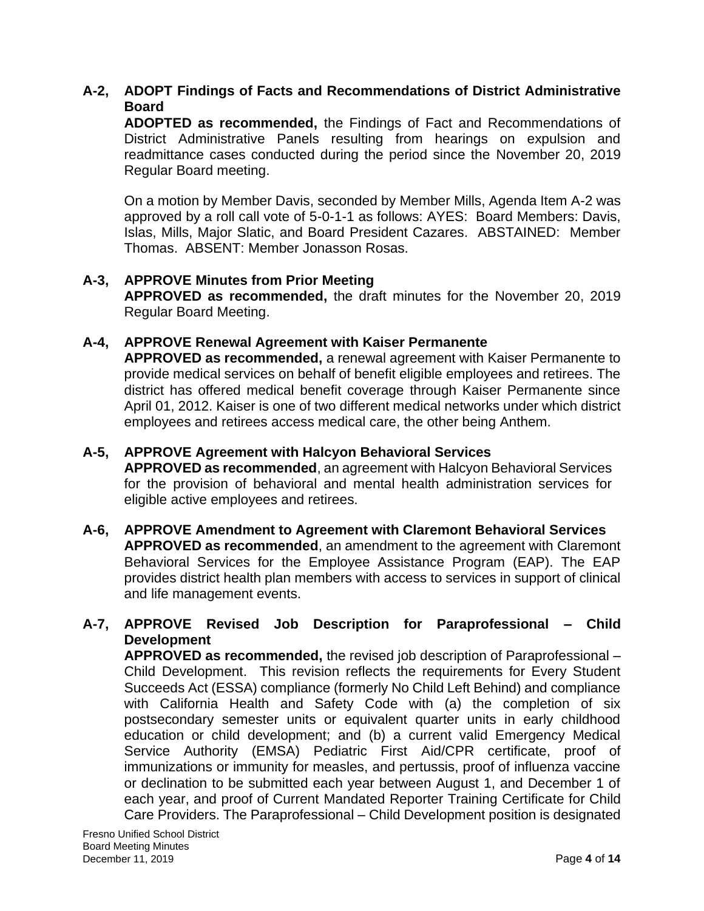# **A-2, ADOPT Findings of Facts and Recommendations of District Administrative Board**

 **ADOPTED as recommended,** the Findings of Fact and Recommendations of District Administrative Panels resulting from hearings on expulsion and readmittance cases conducted during the period since the November 20, 2019 Regular Board meeting.

 On a motion by Member Davis, seconded by Member Mills, Agenda Item A-2 was approved by a roll call vote of 5-0-1-1 as follows: AYES: Board Members: Davis, Islas, Mills, Major Slatic, and Board President Cazares. ABSTAINED: Member Thomas. ABSENT: Member Jonasson Rosas.

# **A-3, APPROVE Minutes from Prior Meeting**

 **APPROVED as recommended,** the draft minutes for the November 20, 2019 Regular Board Meeting.

# **A-4, APPROVE Renewal Agreement with Kaiser Permanente**

 **APPROVED as recommended,** a renewal agreement with Kaiser Permanente to district has offered medical benefit coverage through Kaiser Permanente since April 01, 2012. Kaiser is one of two different medical networks under which district provide medical services on behalf of benefit eligible employees and retirees. The employees and retirees access medical care, the other being Anthem.

## **A-5, APPROVE Agreement with Halcyon Behavioral Services**

 **APPROVED as recommended**, an agreement with Halcyon Behavioral Services for the provision of behavioral and mental health administration services for eligible active employees and retirees.

 **APPROVED as recommended**, an amendment to the agreement with Claremont Behavioral Services for the Employee Assistance Program (EAP). The EAP provides district health plan members with access to services in support of clinical **A-6, APPROVE Amendment to Agreement with Claremont Behavioral Services**  and life management events.

# **A-7, APPROVE Revised Job Description for Paraprofessional – Child Development**

 **APPROVED as recommended,** the revised job description of Paraprofessional – Child Development. This revision reflects the requirements for Every Student Succeeds Act (ESSA) compliance (formerly No Child Left Behind) and compliance with California Health and Safety Code with (a) the completion of six education or child development; and (b) a current valid Emergency Medical Service Authority (EMSA) Pediatric First Aid/CPR certificate, proof of immunizations or immunity for measles, and pertussis, proof of influenza vaccine or declination to be submitted each year between August 1, and December 1 of each year, and proof of Current Mandated Reporter Training Certificate for Child Care Providers. The Paraprofessional – Child Development position is designated postsecondary semester units or equivalent quarter units in early childhood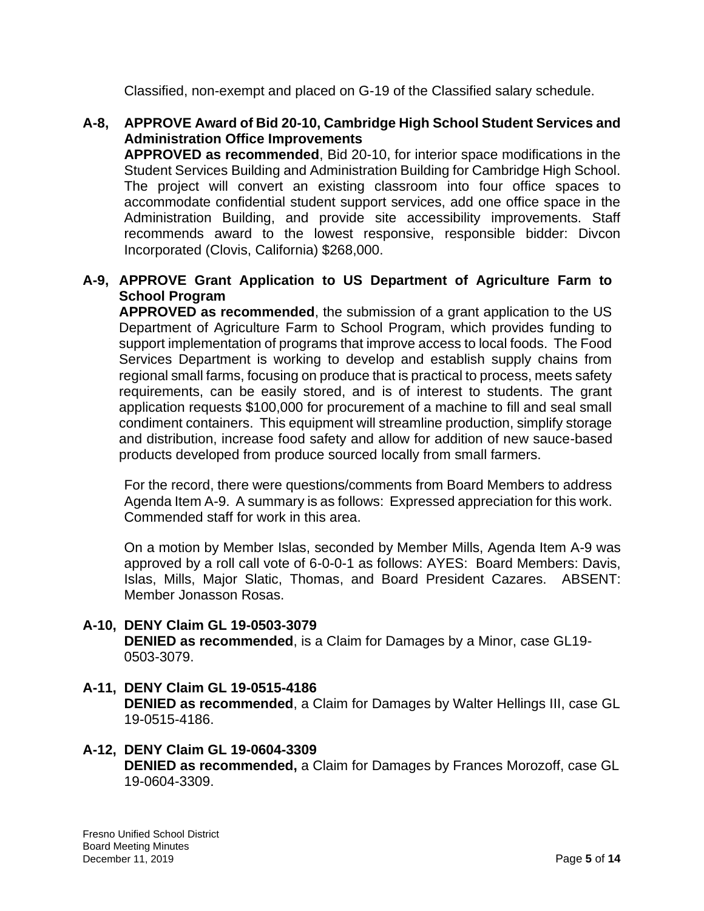Classified, non-exempt and placed on G-19 of the Classified salary schedule.

## **A-8, APPROVE Award of Bid 20-10, Cambridge High School Student Services and Administration Office Improvements**

 Student Services Building and Administration Building for Cambridge High School. The project will convert an existing classroom into four office spaces to accommodate confidential student support services, add one office space in the Administration Building, and provide site accessibility improvements. Staff recommends award to the lowest responsive, responsible bidder: Divcon **APPROVED as recommended**, Bid 20-10, for interior space modifications in the Incorporated (Clovis, California) \$268,000.

## **A-9, APPROVE Grant Application to US Department of Agriculture Farm to School Program**

 **APPROVED as recommended**, the submission of a grant application to the US Department of Agriculture Farm to School Program, which provides funding to support implementation of programs that improve access to local foods. The Food Services Department is working to develop and establish supply chains from regional small farms, focusing on produce that is practical to process, meets safety requirements, can be easily stored, and is of interest to students. The grant application requests \$100,000 for procurement of a machine to fill and seal small condiment containers. This equipment will streamline production, simplify storage and distribution, increase food safety and allow for addition of new sauce-based products developed from produce sourced locally from small farmers.

 For the record, there were questions/comments from Board Members to address Agenda Item A-9. A summary is as follows: Expressed appreciation for this work. Commended staff for work in this area.

 On a motion by Member Islas, seconded by Member Mills, Agenda Item A-9 was approved by a roll call vote of 6-0-0-1 as follows: AYES: Board Members: Davis, Islas, Mills, Major Slatic, Thomas, and Board President Cazares. ABSENT: Member Jonasson Rosas.

# **A-10, DENY Claim GL 19-0503-3079**

**DENIED as recommended**, is a Claim for Damages by a Minor, case GL19- 0503-3079.

### **A-11, DENY Claim GL 19-0515-4186**

**DENIED as recommended**, a Claim for Damages by Walter Hellings III, case GL 19-0515-4186.

# **A-12, DENY Claim GL 19-0604-3309**

**DENIED as recommended,** a Claim for Damages by Frances Morozoff, case GL 19-0604-3309.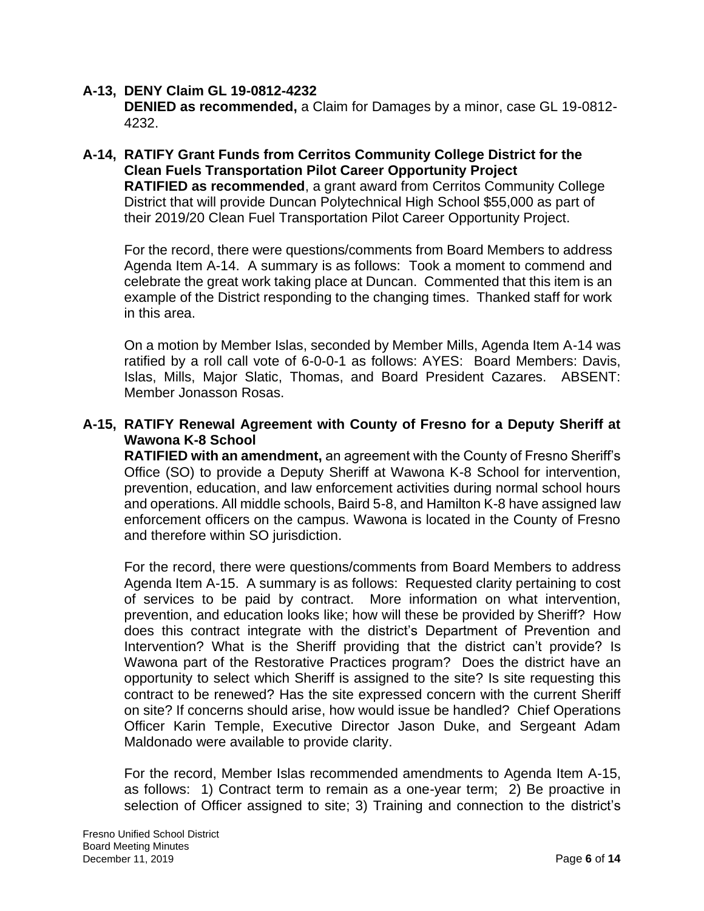#### **A-13, DENY Claim GL 19-0812-4232**

**DENIED as recommended,** a Claim for Damages by a minor, case GL 19-0812- 4232.

### their 2019/20 Clean Fuel Transportation Pilot Career Opportunity Project. **A-14, RATIFY Grant Funds from Cerritos Community College District for the Clean Fuels Transportation Pilot Career Opportunity Project RATIFIED as recommended**, a grant award from Cerritos Community College District that will provide Duncan Polytechnical High School \$55,000 as part of

 For the record, there were questions/comments from Board Members to address Agenda Item A-14. A summary is as follows: Took a moment to commend and celebrate the great work taking place at Duncan. Commented that this item is an example of the District responding to the changing times. Thanked staff for work in this area.

 On a motion by Member Islas, seconded by Member Mills, Agenda Item A-14 was ratified by a roll call vote of 6-0-0-1 as follows: AYES: Board Members: Davis, Islas, Mills, Major Slatic, Thomas, and Board President Cazares. ABSENT: Member Jonasson Rosas.

#### **A-15, RATIFY Renewal Agreement with County of Fresno for a Deputy Sheriff at Wawona K-8 School**

 **RATIFIED with an amendment,** an agreement with the County of Fresno Sheriff's Office (SO) to provide a Deputy Sheriff at Wawona K-8 School for intervention, prevention, education, and law enforcement activities during normal school hours and operations. All middle schools, Baird 5-8, and Hamilton K-8 have assigned law enforcement officers on the campus. Wawona is located in the County of Fresno and therefore within SO jurisdiction.

 For the record, there were questions/comments from Board Members to address Agenda Item A-15. A summary is as follows: Requested clarity pertaining to cost of services to be paid by contract. More information on what intervention, prevention, and education looks like; how will these be provided by Sheriff? How does this contract integrate with the district's Department of Prevention and Intervention? What is the Sheriff providing that the district can't provide? Is Wawona part of the Restorative Practices program? Does the district have an opportunity to select which Sheriff is assigned to the site? Is site requesting this contract to be renewed? Has the site expressed concern with the current Sheriff on site? If concerns should arise, how would issue be handled? Chief Operations Officer Karin Temple, Executive Director Jason Duke, and Sergeant Adam Maldonado were available to provide clarity.

 For the record, Member Islas recommended amendments to Agenda Item A-15, as follows: 1) Contract term to remain as a one-year term; 2) Be proactive in selection of Officer assigned to site; 3) Training and connection to the district's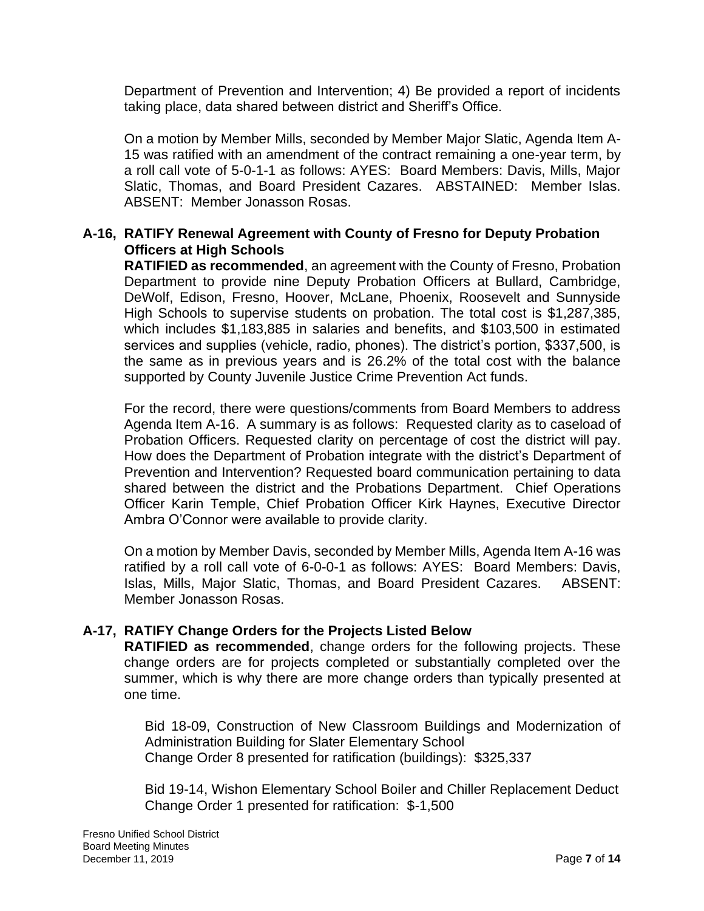Department of Prevention and Intervention; 4) Be provided a report of incidents taking place, data shared between district and Sheriff's Office.

 On a motion by Member Mills, seconded by Member Major Slatic, Agenda Item A- 15 was ratified with an amendment of the contract remaining a one-year term, by a roll call vote of 5-0-1-1 as follows: AYES: Board Members: Davis, Mills, Major Slatic, Thomas, and Board President Cazares. ABSTAINED: Member Islas.<br>ABSENT: Member Jonasson Rosas.

## **A-16, RATIFY Renewal Agreement with County of Fresno for Deputy Probation Officers at High Schools**

 **RATIFIED as recommended**, an agreement with the County of Fresno, Probation Department to provide nine Deputy Probation Officers at Bullard, Cambridge, DeWolf, Edison, Fresno, Hoover, McLane, Phoenix, Roosevelt and Sunnyside High Schools to supervise students on probation. The total cost is \$1,287,385, which includes \$1,183,885 in salaries and benefits, and \$103,500 in estimated the same as in previous years and is 26.2% of the total cost with the balance services and supplies (vehicle, radio, phones). The district's portion, \$337,500, is supported by County Juvenile Justice Crime Prevention Act funds.

 For the record, there were questions/comments from Board Members to address Agenda Item A-16. A summary is as follows: Requested clarity as to caseload of How does the Department of Probation integrate with the district's Department of Prevention and Intervention? Requested board communication pertaining to data shared between the district and the Probations Department. Chief Operations Officer Karin Temple, Chief Probation Officer Kirk Haynes, Executive Director Probation Officers. Requested clarity on percentage of cost the district will pay. Ambra O'Connor were available to provide clarity.

 On a motion by Member Davis, seconded by Member Mills, Agenda Item A-16 was ratified by a roll call vote of 6-0-0-1 as follows: AYES: Board Members: Davis, Islas, Mills, Major Slatic, Thomas, and Board President Cazares. ABSENT: Member Jonasson Rosas.

### **A-17, RATIFY Change Orders for the Projects Listed Below**

 **RATIFIED as recommended**, change orders for the following projects. These change orders are for projects completed or substantially completed over the summer, which is why there are more change orders than typically presented at one time.

 Bid 18-09, Construction of New Classroom Buildings and Modernization of Administration Building for Slater Elementary School Change Order 8 presented for ratification (buildings): \$325,337

 Change Order 1 presented for ratification: \$-1,500 Bid 19-14, Wishon Elementary School Boiler and Chiller Replacement Deduct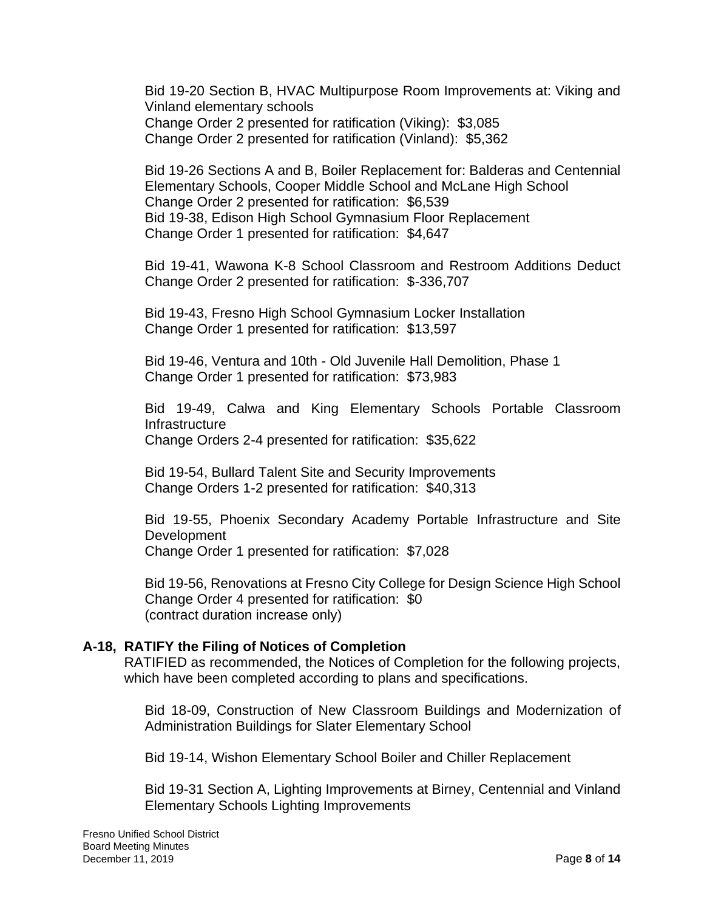Bid 19-20 Section B, HVAC Multipurpose Room Improvements at: Viking and Vinland elementary schools Change Order 2 presented for ratification (Viking): \$3,085 Change Order 2 presented for ratification (Vinland): \$5,362

 Change Order 2 presented for ratification: \$6,539 Change Order 1 presented for ratification: \$4,647 Bid 19-26 Sections A and B, Boiler Replacement for: Balderas and Centennial Elementary Schools, Cooper Middle School and McLane High School Bid 19-38, Edison High School Gymnasium Floor Replacement

 Bid 19-41, Wawona K-8 School Classroom and Restroom Additions Deduct Change Order 2 presented for ratification: \$-336,707

 Change Order 1 presented for ratification: \$13,597 Bid 19-43, Fresno High School Gymnasium Locker Installation

 Change Order 1 presented for ratification: \$73,983 Bid 19-46, Ventura and 10th - Old Juvenile Hall Demolition, Phase 1

 Bid 19-49, Calwa and King Elementary Schools Portable Classroom Change Orders 2-4 presented for ratification: \$35,622 Infrastructure

 Change Orders 1-2 presented for ratification: \$40,313 Bid 19-54, Bullard Talent Site and Security Improvements

 Bid 19-55, Phoenix Secondary Academy Portable Infrastructure and Site Development

Change Order 1 presented for ratification: \$7,028

 Bid 19-56, Renovations at Fresno City College for Design Science High School Change Order 4 presented for ratification: \$0 (contract duration increase only)

#### **A-18, RATIFY the Filing of Notices of Completion**

 RATIFIED as recommended, the Notices of Completion for the following projects, which have been completed according to plans and specifications.

Bid 18-09, Construction of New Classroom Buildings and Modernization of Administration Buildings for Slater Elementary School

Bid 19-14, Wishon Elementary School Boiler and Chiller Replacement

 Bid 19-31 Section A, Lighting Improvements at Birney, Centennial and Vinland Elementary Schools Lighting Improvements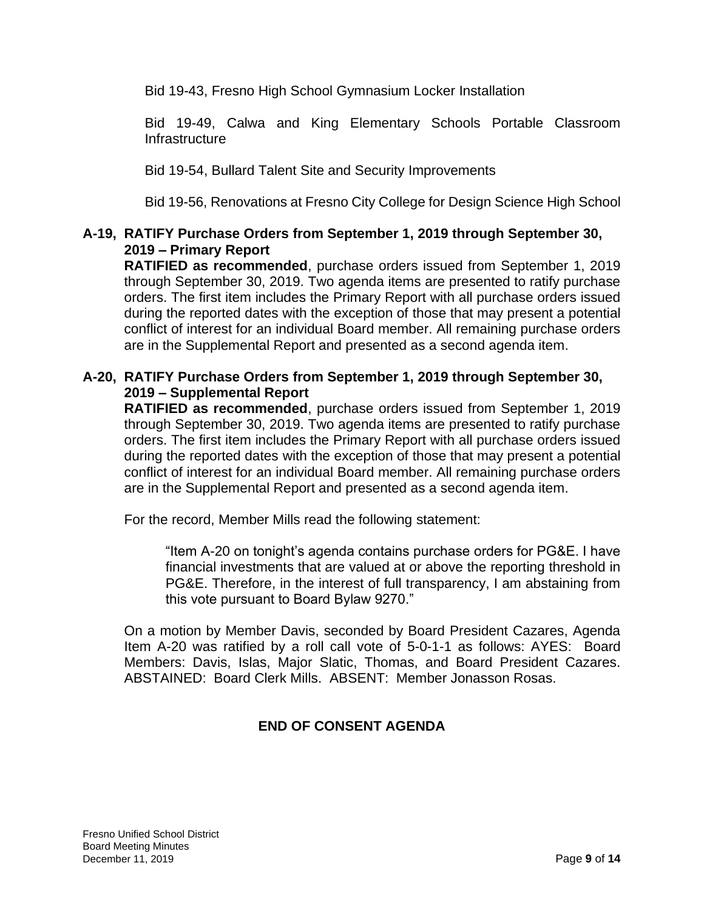Bid 19-43, Fresno High School Gymnasium Locker Installation

 Bid 19-49, Calwa and King Elementary Schools Portable Classroom Infrastructure

Bid 19-54, Bullard Talent Site and Security Improvements

Bid 19-56, Renovations at Fresno City College for Design Science High School

# **A-19, RATIFY Purchase Orders from September 1, 2019 through September 30, 2019 – Primary Report**

 **RATIFIED as recommended**, purchase orders issued from September 1, 2019 through September 30, 2019. Two agenda items are presented to ratify purchase orders. The first item includes the Primary Report with all purchase orders issued during the reported dates with the exception of those that may present a potential conflict of interest for an individual Board member. All remaining purchase orders are in the Supplemental Report and presented as a second agenda item.

# **A-20, RATIFY Purchase Orders from September 1, 2019 through September 30, 2019 – Supplemental Report**

 **RATIFIED as recommended**, purchase orders issued from September 1, 2019 through September 30, 2019. Two agenda items are presented to ratify purchase orders. The first item includes the Primary Report with all purchase orders issued during the reported dates with the exception of those that may present a potential conflict of interest for an individual Board member. All remaining purchase orders are in the Supplemental Report and presented as a second agenda item.<br>For the record, Member Mills read the following statement:

For the record, Member Mills read the following statement:

 financial investments that are valued at or above the reporting threshold in PG&E. Therefore, in the interest of full transparency, I am abstaining from "Item A-20 on tonight's agenda contains purchase orders for PG&E. I have this vote pursuant to Board Bylaw 9270."

 On a motion by Member Davis, seconded by Board President Cazares, Agenda Item A-20 was ratified by a roll call vote of 5-0-1-1 as follows: AYES: Board Members: Davis, Islas, Major Slatic, Thomas, and Board President Cazares.<br>ABSTAINED: Board Clerk Mills. ABSENT: Member Jonasson Rosas. ABSTAINED: Board Clerk Mills, ABSENT: Member Jonasson Rosas,

# **END OF CONSENT AGENDA**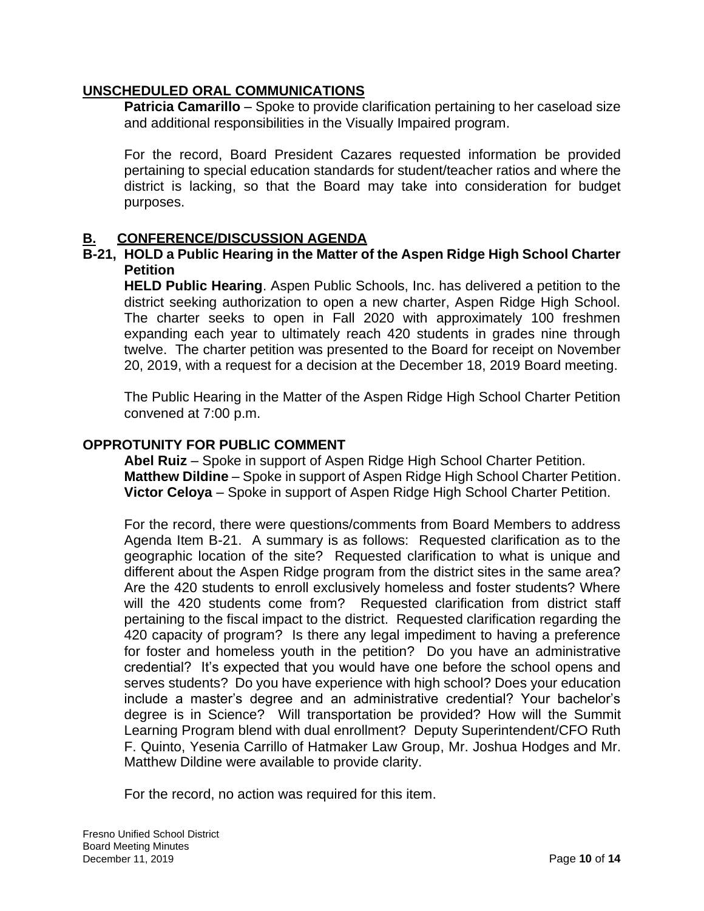### **UNSCHEDULED ORAL COMMUNICATIONS**

 **Patricia Camarillo** – Spoke to provide clarification pertaining to her caseload size and additional responsibilities in the Visually Impaired program.

 pertaining to special education standards for student/teacher ratios and where the district is lacking, so that the Board may take into consideration for budget For the record, Board President Cazares requested information be provided purposes.

# **B. CONFERENCE/DISCUSSION AGENDA**

#### **B-21, HOLD a Public Hearing in the Matter of the Aspen Ridge High School Charter Petition**

 **HELD Public Hearing**. Aspen Public Schools, Inc. has delivered a petition to the district seeking authorization to open a new charter, Aspen Ridge High School. The charter seeks to open in Fall 2020 with approximately 100 freshmen expanding each year to ultimately reach 420 students in grades nine through twelve. The charter petition was presented to the Board for receipt on November 20, 2019, with a request for a decision at the December 18, 2019 Board meeting.

The Public Hearing in the Matter of the Aspen Ridge High School Charter Petition convened at 7:00 p.m.

# **OPPROTUNITY FOR PUBLIC COMMENT**

 **Matthew Dildine** – Spoke in support of Aspen Ridge High School Charter Petition. **Victor Celoya** – Spoke in support of Aspen Ridge High School Charter Petition. **Abel Ruiz** – Spoke in support of Aspen Ridge High School Charter Petition.

 For the record, there were questions/comments from Board Members to address Agenda Item B-21. A summary is as follows: Requested clarification as to the geographic location of the site? Requested clarification to what is unique and different about the Aspen Ridge program from the district sites in the same area? Are the 420 students to enroll exclusively homeless and foster students? Where will the 420 students come from? Requested clarification from district staff pertaining to the fiscal impact to the district. Requested clarification regarding the 420 capacity of program? Is there any legal impediment to having a preference for foster and homeless youth in the petition? Do you have an administrative credential? It's expected that you would have one before the school opens and serves students? Do you have experience with high school? Does your education include a master's degree and an administrative credential? Your bachelor's degree is in Science? Will transportation be provided? How will the Summit Learning Program blend with dual enrollment? Deputy Superintendent/CFO Ruth F. Quinto, Yesenia Carrillo of Hatmaker Law Group, Mr. Joshua Hodges and Mr. Matthew Dildine were available to provide clarity.

For the record, no action was required for this item.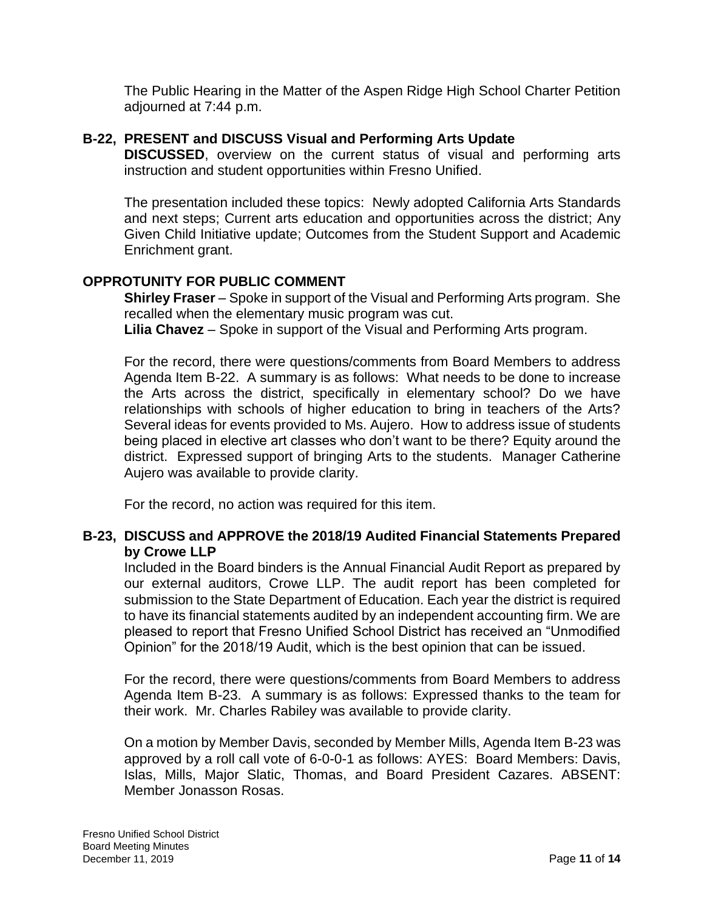The Public Hearing in the Matter of the Aspen Ridge High School Charter Petition adjourned at 7:44 p.m.

## **B-22, PRESENT and DISCUSS Visual and Performing Arts Update**

 **DISCUSSED**, overview on the current status of visual and performing arts instruction and student opportunities within Fresno Unified.

 The presentation included these topics: Newly adopted California Arts Standards and next steps; Current arts education and opportunities across the district; Any Given Child Initiative update; Outcomes from the Student Support and Academic Enrichment grant.

# **OPPROTUNITY FOR PUBLIC COMMENT**

 **Shirley Fraser** – Spoke in support of the Visual and Performing Arts program. She recalled when the elementary music program was cut.

**Lilia Chavez** – Spoke in support of the Visual and Performing Arts program.

 For the record, there were questions/comments from Board Members to address Agenda Item B-22. A summary is as follows: What needs to be done to increase the Arts across the district, specifically in elementary school? Do we have relationships with schools of higher education to bring in teachers of the Arts? Several ideas for events provided to Ms. Aujero. How to address issue of students being placed in elective art classes who don't want to be there? Equity around the district. Expressed support of bringing Arts to the students. Manager Catherine Aujero was available to provide clarity.

For the record, no action was required for this item.

# **B-23, DISCUSS and APPROVE the 2018/19 Audited Financial Statements Prepared by Crowe LLP**

 Included in the Board binders is the Annual Financial Audit Report as prepared by our external auditors, Crowe LLP. The audit report has been completed for submission to the State Department of Education. Each year the district is required to have its financial statements audited by an independent accounting firm. We are pleased to report that Fresno Unified School District has received an "Unmodified Opinion" for the 2018/19 Audit, which is the best opinion that can be issued.

 For the record, there were questions/comments from Board Members to address Agenda Item B-23. A summary is as follows: Expressed thanks to the team for their work. Mr. Charles Rabiley was available to provide clarity.

 On a motion by Member Davis, seconded by Member Mills, Agenda Item B-23 was approved by a roll call vote of 6-0-0-1 as follows: AYES: Board Members: Davis, Islas, Mills, Major Slatic, Thomas, and Board President Cazares. ABSENT: Member Jonasson Rosas.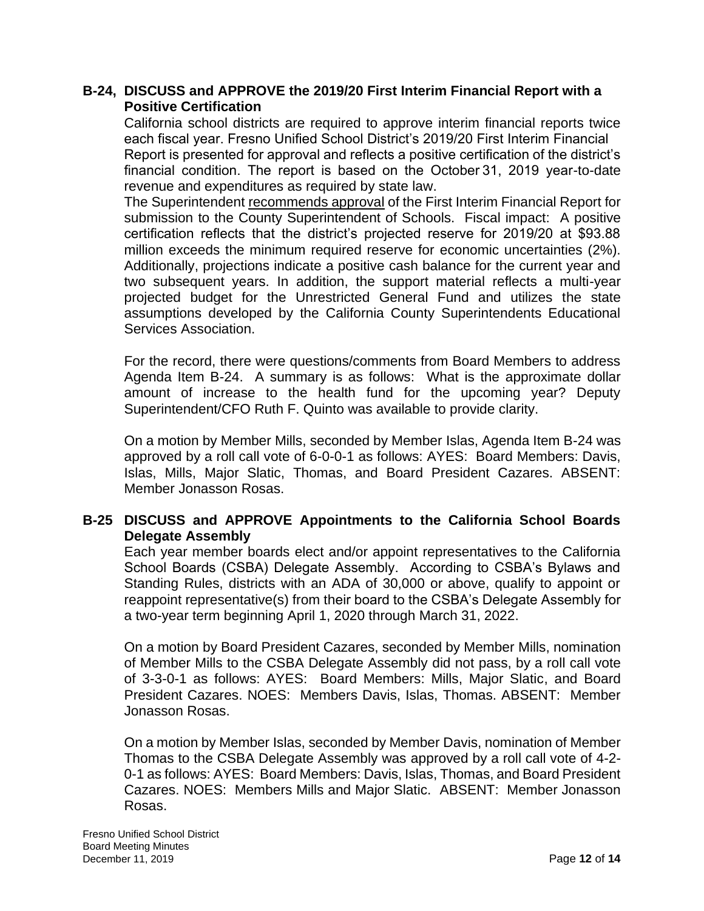### **B-24, DISCUSS and APPROVE the 2019/20 First Interim Financial Report with a Positive Certification**

 California school districts are required to approve interim financial reports twice Report is presented for approval and reflects a positive certification of the district's financial condition. The report is based on the October 31, 2019 year-to-date each fiscal year. Fresno Unified School District's 2019/20 First Interim Financial revenue and expenditures as required by state law.

The Superintendent recommends approval of the First Interim Financial Report for submission to the County Superintendent of Schools. Fiscal impact: A positive certification reflects that the district's projected reserve for 2019/20 at \$93.88 million exceeds the minimum required reserve for economic uncertainties (2%). Additionally, projections indicate a positive cash balance for the current year and two subsequent years. In addition, the support material reflects a multi-year projected budget for the Unrestricted General Fund and utilizes the state assumptions developed by the California County Superintendents Educational Services Association.

Services Association.<br>For the record, there were questions/comments from Board Members to address Agenda Item B-24. A summary is as follows: What is the approximate dollar amount of increase to the health fund for the upcoming year? Deputy Superintendent/CFO Ruth F. Quinto was available to provide clarity.

 On a motion by Member Mills, seconded by Member Islas, Agenda Item B-24 was approved by a roll call vote of 6-0-0-1 as follows: AYES: Board Members: Davis, Islas, Mills, Major Slatic, Thomas, and Board President Cazares. ABSENT: Member Jonasson Rosas.

# **B-25 DISCUSS and APPROVE Appointments to the California School Boards Delegate Assembly**

 Each year member boards elect and/or appoint representatives to the California School Boards (CSBA) Delegate Assembly. According to CSBA's Bylaws and Standing Rules, districts with an ADA of 30,000 or above, qualify to appoint or reappoint representative(s) from their board to the CSBA's Delegate Assembly for a two-year term beginning April 1, 2020 through March 31, 2022.

 On a motion by Board President Cazares, seconded by Member Mills, nomination of Member Mills to the CSBA Delegate Assembly did not pass, by a roll call vote of 3-3-0-1 as follows: AYES: Board Members: Mills, Major Slatic, and Board President Cazares. NOES: Members Davis, Islas, Thomas. ABSENT: Member Jonasson Rosas.

 On a motion by Member Islas, seconded by Member Davis, nomination of Member Thomas to the CSBA Delegate Assembly was approved by a roll call vote of 4-2- 0-1 as follows: AYES: Board Members: Davis, Islas, Thomas, and Board President Cazares. NOES: Members Mills and Major Slatic. ABSENT: Member Jonasson Rosas.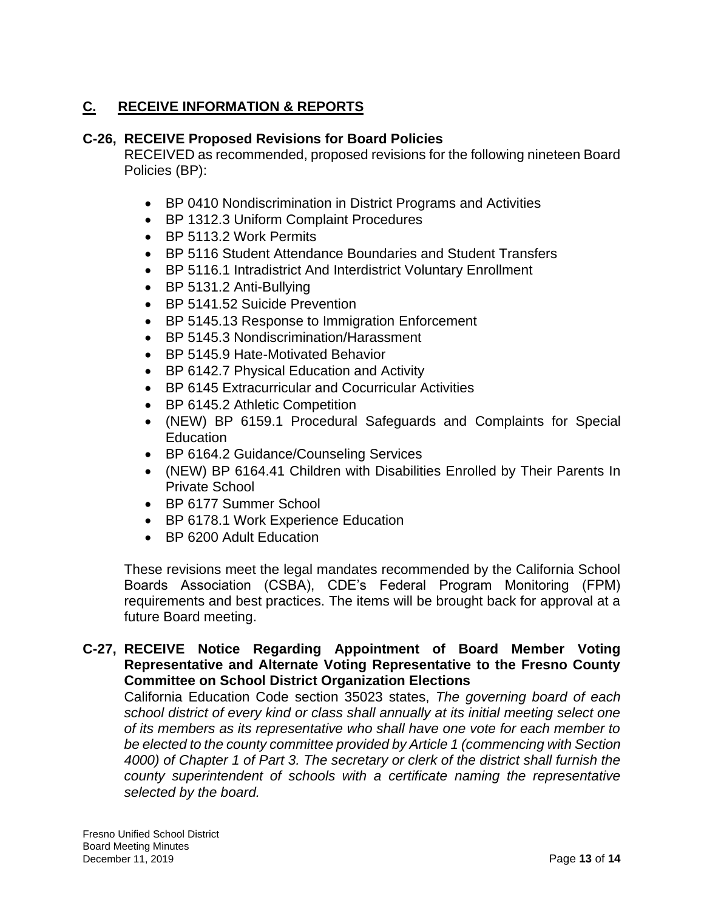# **C. RECEIVE INFORMATION & REPORTS**

# **C-26, RECEIVE Proposed Revisions for Board Policies**

 RECEIVED as recommended, proposed revisions for the following nineteen Board Policies (BP):

- BP 0410 Nondiscrimination in District Programs and Activities
- BP 1312.3 Uniform Complaint Procedures
- BP 5113.2 Work Permits
- BP 5116 Student Attendance Boundaries and Student Transfers
- BP 5116.1 Intradistrict And Interdistrict Voluntary Enrollment
- BP 5131.2 Anti-Bullying
- BP 5141.52 Suicide Prevention
- BP 5145.13 Response to Immigration Enforcement
- BP 5145.3 Nondiscrimination/Harassment
- BP 5145.9 Hate-Motivated Behavior
- BP 6142.7 Physical Education and Activity
- BP 6145 Extracurricular and Cocurricular Activities
- BP 6145.2 Athletic Competition
- • (NEW) BP 6159.1 Procedural Safeguards and Complaints for Special Education
- BP 6164.2 Guidance/Counseling Services
- • (NEW) BP 6164.41 Children with Disabilities Enrolled by Their Parents In Private School
- BP 6177 Summer School
- BP 6178.1 Work Experience Education
- BP 6200 Adult Education

 These revisions meet the legal mandates recommended by the California School requirements and best practices. The items will be brought back for approval at a Boards Association (CSBA), CDE's Federal Program Monitoring (FPM) future Board meeting.

#### **C-27, RECEIVE Notice Regarding Appointment of Board Member Voting Representative and Alternate Voting Representative to the Fresno County Committee on School District Organization Elections**

 California Education Code section 35023 states, *The governing board of each school district of every kind or class shall annually at its initial meeting select one of its members as its representative who shall have one vote for each member to*  be elected to the county committee provided by Article 1 (commencing with Section  *4000) of Chapter 1 of Part 3. The secretary or clerk of the district shall furnish the*  county superintendent of schools with a certificate naming the representative *selected by the board.*